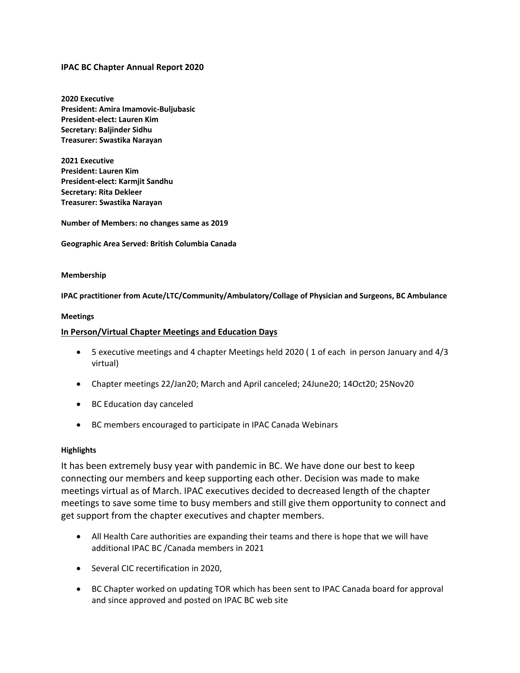## **IPAC BC Chapter Annual Report 2020**

**2020 Executive President: Amira Imamovic-Buljubasic President-elect: Lauren Kim Secretary: Baljinder Sidhu Treasurer: Swastika Narayan**

**2021 Executive President: Lauren Kim President-elect: Karmjit Sandhu Secretary: Rita Dekleer Treasurer: Swastika Narayan**

**Number of Members: no changes same as 2019**

**Geographic Area Served: British Columbia Canada** 

## **Membership**

**IPAC practitioner from Acute/LTC/Community/Ambulatory/Collage of Physician and Surgeons, BC Ambulance**

## **Meetings**

## **In Person/Virtual Chapter Meetings and Education Days**

- 5 executive meetings and 4 chapter Meetings held 2020 ( 1 of each in person January and 4/3 virtual)
- Chapter meetings 22/Jan20; March and April canceled; 24June20; 14Oct20; 25Nov20
- BC Education day canceled
- BC members encouraged to participate in IPAC Canada Webinars

## **Highlights**

It has been extremely busy year with pandemic in BC. We have done our best to keep connecting our members and keep supporting each other. Decision was made to make meetings virtual as of March. IPAC executives decided to decreased length of the chapter meetings to save some time to busy members and still give them opportunity to connect and get support from the chapter executives and chapter members.

- All Health Care authorities are expanding their teams and there is hope that we will have additional IPAC BC /Canada members in 2021
- Several CIC recertification in 2020,
- BC Chapter worked on updating TOR which has been sent to IPAC Canada board for approval and since approved and posted on IPAC BC web site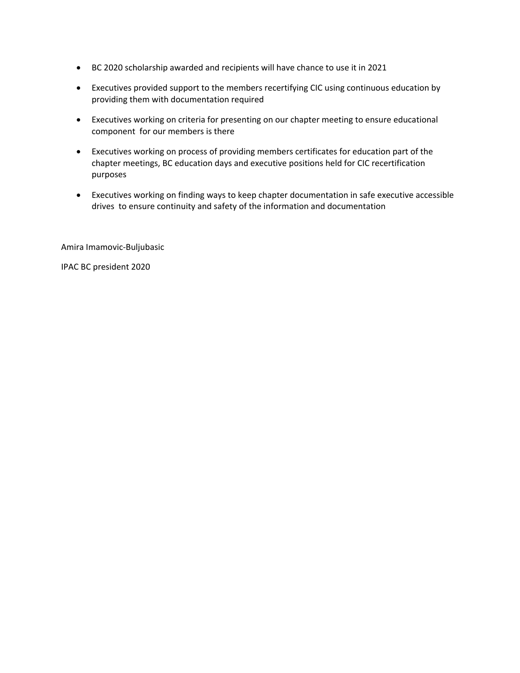- BC 2020 scholarship awarded and recipients will have chance to use it in 2021
- Executives provided support to the members recertifying CIC using continuous education by providing them with documentation required
- Executives working on criteria for presenting on our chapter meeting to ensure educational component for our members is there
- Executives working on process of providing members certificates for education part of the chapter meetings, BC education days and executive positions held for CIC recertification purposes
- Executives working on finding ways to keep chapter documentation in safe executive accessible drives to ensure continuity and safety of the information and documentation

Amira Imamovic-Buljubasic

IPAC BC president 2020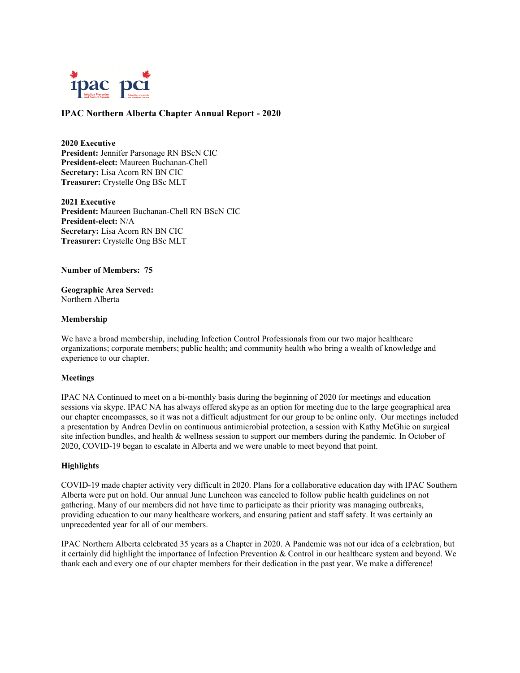

## **IPAC Northern Alberta Chapter Annual Report - 2020**

**2020 Executive President:** Jennifer Parsonage RN BScN CIC **President-elect:** Maureen Buchanan-Chell **Secretary:** Lisa Acorn RN BN CIC **Treasurer:** Crystelle Ong BSc MLT

**2021 Executive President:** Maureen Buchanan-Chell RN BScN CIC **President-elect:** N/A **Secretary:** Lisa Acorn RN BN CIC **Treasurer:** Crystelle Ong BSc MLT

#### **Number of Members: 75**

**Geographic Area Served:**  Northern Alberta

#### **Membership**

We have a broad membership, including Infection Control Professionals from our two major healthcare organizations; corporate members; public health; and community health who bring a wealth of knowledge and experience to our chapter.

### **Meetings**

IPAC NA Continued to meet on a bi-monthly basis during the beginning of 2020 for meetings and education sessions via skype. IPAC NA has always offered skype as an option for meeting due to the large geographical area our chapter encompasses, so it was not a difficult adjustment for our group to be online only. Our meetings included a presentation by Andrea Devlin on continuous antimicrobial protection, a session with Kathy McGhie on surgical site infection bundles, and health & wellness session to support our members during the pandemic. In October of 2020, COVID-19 began to escalate in Alberta and we were unable to meet beyond that point.

### **Highlights**

COVID-19 made chapter activity very difficult in 2020. Plans for a collaborative education day with IPAC Southern Alberta were put on hold. Our annual June Luncheon was canceled to follow public health guidelines on not gathering. Many of our members did not have time to participate as their priority was managing outbreaks, providing education to our many healthcare workers, and ensuring patient and staff safety. It was certainly an unprecedented year for all of our members.

IPAC Northern Alberta celebrated 35 years as a Chapter in 2020. A Pandemic was not our idea of a celebration, but it certainly did highlight the importance of Infection Prevention & Control in our healthcare system and beyond. We thank each and every one of our chapter members for their dedication in the past year. We make a difference!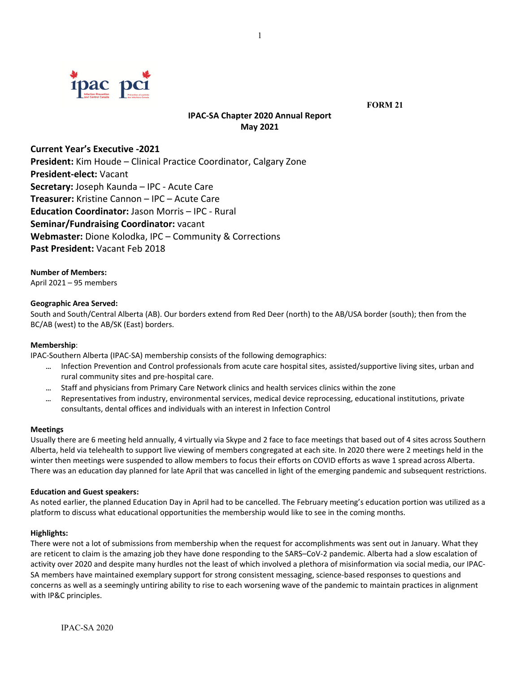

 **FORM 21**

# **IPAC‐SA Chapter 2020 Annual Report May 2021**

**Current Year's Executive ‐2021** 

**President:** Kim Houde – Clinical Practice Coordinator, Calgary Zone **President‐elect:** Vacant **Secretary:** Joseph Kaunda – IPC ‐ Acute Care **Treasurer:** Kristine Cannon – IPC – Acute Care **Education Coordinator:** Jason Morris – IPC ‐ Rural **Seminar/Fundraising Coordinator:** vacant **Webmaster:** Dione Kolodka, IPC – Community & Corrections **Past President:** Vacant Feb 2018

**Number of Members:** April 2021 – 95 members

## **Geographic Area Served:**

South and South/Central Alberta (AB). Our borders extend from Red Deer (north) to the AB/USA border (south); then from the BC/AB (west) to the AB/SK (East) borders.

### **Membership**:

IPAC‐Southern Alberta (IPAC‐SA) membership consists of the following demographics:

- Infection Prevention and Control professionals from acute care hospital sites, assisted/supportive living sites, urban and rural community sites and pre‐hospital care.
- ... Staff and physicians from Primary Care Network clinics and health services clinics within the zone
- Representatives from industry, environmental services, medical device reprocessing, educational institutions, private consultants, dental offices and individuals with an interest in Infection Control

### **Meetings**

Usually there are 6 meeting held annually, 4 virtually via Skype and 2 face to face meetings that based out of 4 sites across Southern Alberta, held via telehealth to support live viewing of members congregated at each site. In 2020 there were 2 meetings held in the winter then meetings were suspended to allow members to focus their efforts on COVID efforts as wave 1 spread across Alberta. There was an education day planned for late April that was cancelled in light of the emerging pandemic and subsequent restrictions.

### **Education and Guest speakers:**

As noted earlier, the planned Education Day in April had to be cancelled. The February meeting's education portion was utilized as a platform to discuss what educational opportunities the membership would like to see in the coming months.

### **Highlights:**

There were not a lot of submissions from membership when the request for accomplishments was sent out in January. What they are reticent to claim is the amazing job they have done responding to the SARS–CoV-2 pandemic. Alberta had a slow escalation of activity over 2020 and despite many hurdles not the least of which involved a plethora of misinformation via social media, our IPAC‐ SA members have maintained exemplary support for strong consistent messaging, science-based responses to questions and concerns as well as a seemingly untiring ability to rise to each worsening wave of the pandemic to maintain practices in alignment with IP&C principles.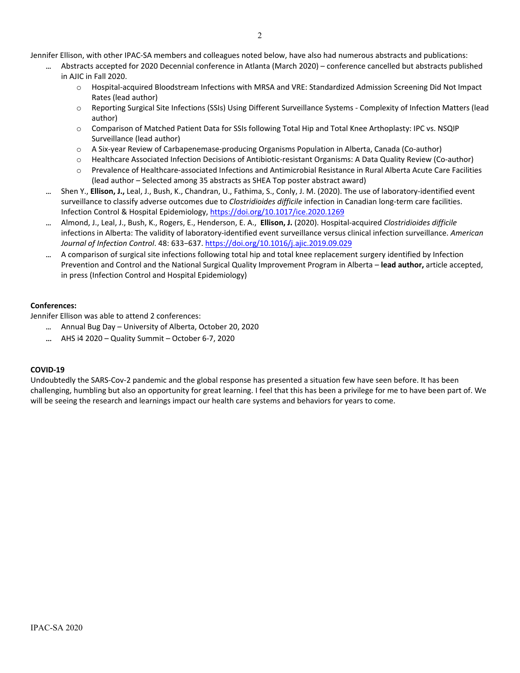Jennifer Ellison, with other IPAC‐SA members and colleagues noted below, have also had numerous abstracts and publications:

- Abstracts accepted for 2020 Decennial conference in Atlanta (March 2020) conference cancelled but abstracts published in AJIC in Fall 2020.
	- o Hospital‐acquired Bloodstream Infections with MRSA and VRE: Standardized Admission Screening Did Not Impact Rates (lead author)
	- o Reporting Surgical Site Infections (SSIs) Using Different Surveillance Systems ‐ Complexity of Infection Matters (lead author)
	- o Comparison of Matched Patient Data for SSIs following Total Hip and Total Knee Arthoplasty: IPC vs. NSQIP Surveillance (lead author)
	- o A Six‐year Review of Carbapenemase‐producing Organisms Population in Alberta, Canada (Co‐author)
	- o Healthcare Associated Infection Decisions of Antibiotic‐resistant Organisms: A Data Quality Review (Co‐author)
	- o Prevalence of Healthcare‐associated Infections and Antimicrobial Resistance in Rural Alberta Acute Care Facilities (lead author – Selected among 35 abstracts as SHEA Top poster abstract award)
- Shen Y., **Ellison, J.,** Leal, J., Bush, K., Chandran, U., Fathima, S., Conly, J. M. (2020). The use of laboratory‐identified event surveillance to classify adverse outcomes due to *Clostridioides difficile* infection in Canadian long-term care facilities. Infection Control & Hospital Epidemiology, https://doi.org/10.1017/ice.2020.1269
- Almond, J., Leal, J., Bush, K., Rogers, E., Henderson, E. A., **Ellison, J.** (2020). Hospital‐acquired *Clostridioides difficile* infections in Alberta: The validity of laboratory‐identified event surveillance versus clinical infection surveillance. *American Journal of Infection Control*. 48: 633−637. https://doi.org/10.1016/j.ajic.2019.09.029
- A comparison of surgical site infections following total hip and total knee replacement surgery identified by Infection Prevention and Control and the National Surgical Quality Improvement Program in Alberta – **lead author,** article accepted, in press (Infection Control and Hospital Epidemiology)

## **Conferences:**

Jennifer Ellison was able to attend 2 conferences:

- Annual Bug Day University of Alberta, October 20, 2020
- AHS i4 2020 Quality Summit October 6‐7, 2020

## **COVID‐19**

Undoubtedly the SARS‐Cov‐2 pandemic and the global response has presented a situation few have seen before. It has been challenging, humbling but also an opportunity for great learning. I feel that this has been a privilege for me to have been part of. We will be seeing the research and learnings impact our health care systems and behaviors for years to come.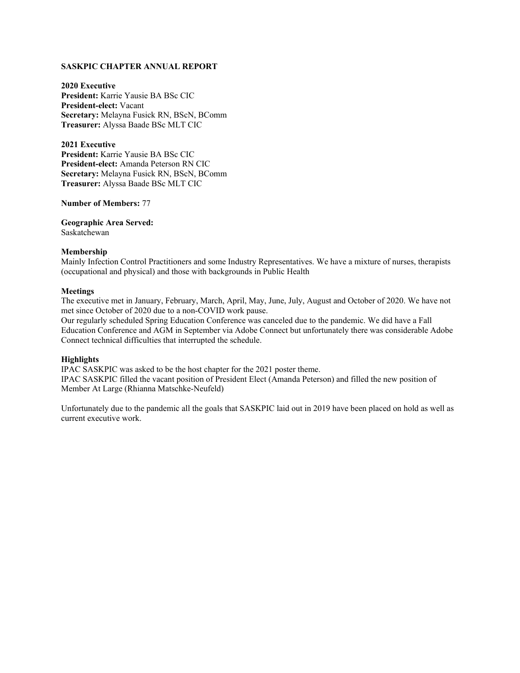## **SASKPIC CHAPTER ANNUAL REPORT**

**2020 Executive President:** Karrie Yausie BA BSc CIC **President-elect:** Vacant **Secretary:** Melayna Fusick RN, BScN, BComm **Treasurer:** Alyssa Baade BSc MLT CIC

**2021 Executive President:** Karrie Yausie BA BSc CIC **President-elect:** Amanda Peterson RN CIC **Secretary:** Melayna Fusick RN, BScN, BComm **Treasurer:** Alyssa Baade BSc MLT CIC

**Number of Members:** 77

**Geographic Area Served:**  Saskatchewan

### **Membership**

Mainly Infection Control Practitioners and some Industry Representatives. We have a mixture of nurses, therapists (occupational and physical) and those with backgrounds in Public Health

#### **Meetings**

The executive met in January, February, March, April, May, June, July, August and October of 2020. We have not met since October of 2020 due to a non-COVID work pause.

Our regularly scheduled Spring Education Conference was canceled due to the pandemic. We did have a Fall Education Conference and AGM in September via Adobe Connect but unfortunately there was considerable Adobe Connect technical difficulties that interrupted the schedule.

### **Highlights**

IPAC SASKPIC was asked to be the host chapter for the 2021 poster theme. IPAC SASKPIC filled the vacant position of President Elect (Amanda Peterson) and filled the new position of Member At Large (Rhianna Matschke-Neufeld)

Unfortunately due to the pandemic all the goals that SASKPIC laid out in 2019 have been placed on hold as well as current executive work.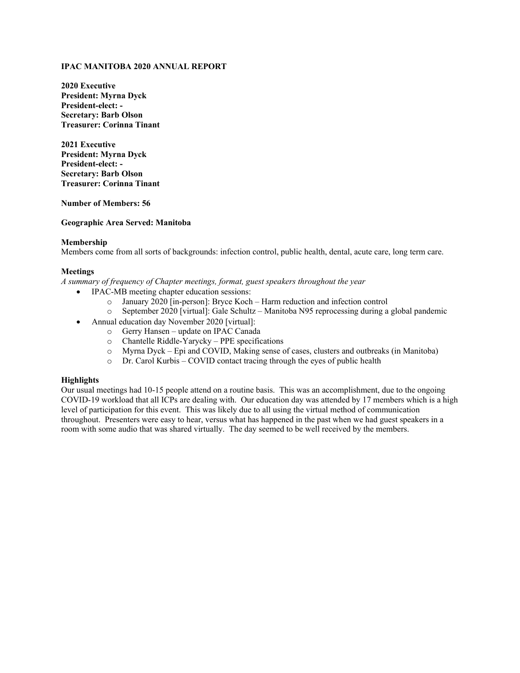## **IPAC MANITOBA 2020 ANNUAL REPORT**

**2020 Executive President: Myrna Dyck President-elect: - Secretary: Barb Olson Treasurer: Corinna Tinant**

**2021 Executive President: Myrna Dyck President-elect: - Secretary: Barb Olson Treasurer: Corinna Tinant**

**Number of Members: 56**

#### **Geographic Area Served: Manitoba**

#### **Membership**

Members come from all sorts of backgrounds: infection control, public health, dental, acute care, long term care.

### **Meetings**

*A summary of frequency of Chapter meetings, format, guest speakers throughout the year*

- **IPAC-MB** meeting chapter education sessions:
	- o January 2020 [in-person]: Bryce Koch Harm reduction and infection control
	- o September 2020 [virtual]: Gale Schultz Manitoba N95 reprocessing during a global pandemic
- Annual education day November 2020 [virtual]:
	- o Gerry Hansen update on IPAC Canada
	- o Chantelle Riddle-Yarycky PPE specifications
	- o Myrna Dyck Epi and COVID, Making sense of cases, clusters and outbreaks (in Manitoba)
	- o Dr. Carol Kurbis COVID contact tracing through the eyes of public health

### **Highlights**

Our usual meetings had 10-15 people attend on a routine basis. This was an accomplishment, due to the ongoing COVID-19 workload that all ICPs are dealing with. Our education day was attended by 17 members which is a high level of participation for this event. This was likely due to all using the virtual method of communication throughout. Presenters were easy to hear, versus what has happened in the past when we had guest speakers in a room with some audio that was shared virtually. The day seemed to be well received by the members.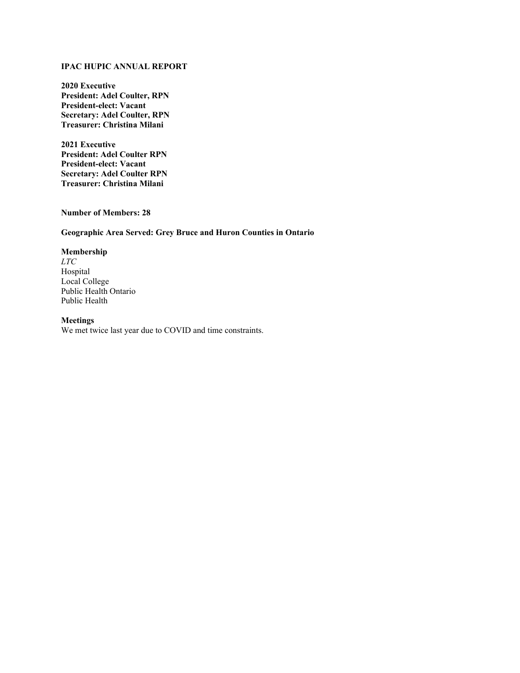## **IPAC HUPIC ANNUAL REPORT**

**2020 Executive President: Adel Coulter, RPN President-elect: Vacant Secretary: Adel Coulter, RPN Treasurer: Christina Milani** 

**2021 Executive President: Adel Coulter RPN President-elect: Vacant Secretary: Adel Coulter RPN Treasurer: Christina Milani**

**Number of Members: 28**

## **Geographic Area Served: Grey Bruce and Huron Counties in Ontario**

## **Membership**

*LTC* Hospital Local College Public Health Ontario Public Health

### **Meetings**

We met twice last year due to COVID and time constraints.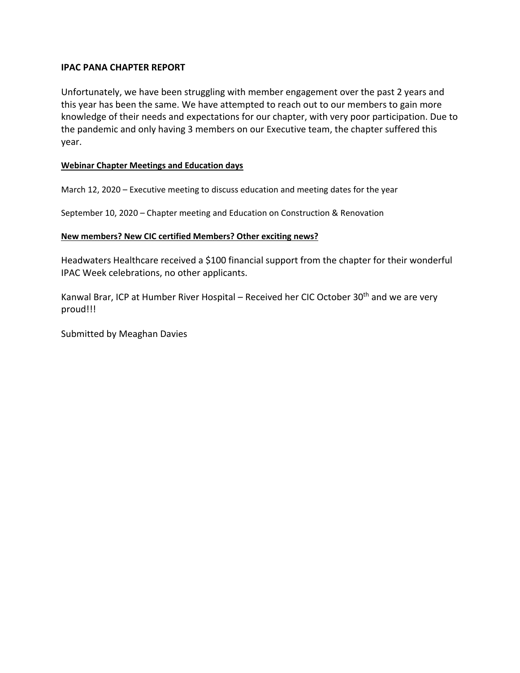# **IPAC PANA CHAPTER REPORT**

Unfortunately, we have been struggling with member engagement over the past 2 years and this year has been the same. We have attempted to reach out to our members to gain more knowledge of their needs and expectations for our chapter, with very poor participation. Due to the pandemic and only having 3 members on our Executive team, the chapter suffered this year.

# **Webinar Chapter Meetings and Education days**

March 12, 2020 – Executive meeting to discuss education and meeting dates for the year

September 10, 2020 – Chapter meeting and Education on Construction & Renovation

## **New members? New CIC certified Members? Other exciting news?**

Headwaters Healthcare received a \$100 financial support from the chapter for their wonderful IPAC Week celebrations, no other applicants.

Kanwal Brar, ICP at Humber River Hospital – Received her CIC October 30<sup>th</sup> and we are very proud!!!

Submitted by Meaghan Davies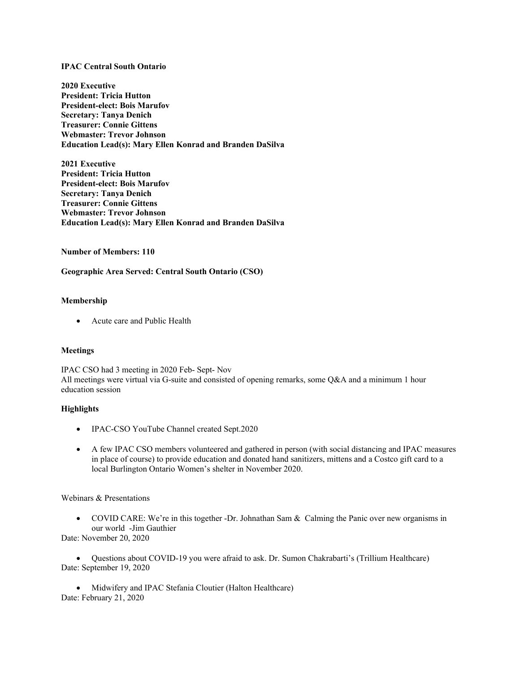### **IPAC Central South Ontario**

**2020 Executive President: Tricia Hutton President-elect: Bois Marufov Secretary: Tanya Denich Treasurer: Connie Gittens Webmaster: Trevor Johnson Education Lead(s): Mary Ellen Konrad and Branden DaSilva**

**2021 Executive President: Tricia Hutton President-elect: Bois Marufov Secretary: Tanya Denich Treasurer: Connie Gittens Webmaster: Trevor Johnson Education Lead(s): Mary Ellen Konrad and Branden DaSilva**

### **Number of Members: 110**

## **Geographic Area Served: Central South Ontario (CSO)**

### **Membership**

• Acute care and Public Health

### **Meetings**

IPAC CSO had 3 meeting in 2020 Feb- Sept- Nov All meetings were virtual via G-suite and consisted of opening remarks, some Q&A and a minimum 1 hour education session

### **Highlights**

- IPAC-CSO YouTube Channel created Sept.2020
- A few IPAC CSO members volunteered and gathered in person (with social distancing and IPAC measures in place of course) to provide education and donated hand sanitizers, mittens and a Costco gift card to a local Burlington Ontario Women's shelter in November 2020.

### Webinars & Presentations

• COVID CARE: We're in this together -Dr. Johnathan Sam & Calming the Panic over new organisms in our world -Jim Gauthier

Date: November 20, 2020

• Questions about COVID-19 you were afraid to ask. Dr. Sumon Chakrabarti's (Trillium Healthcare) Date: September 19, 2020

• Midwifery and IPAC Stefania Cloutier (Halton Healthcare) Date: February 21, 2020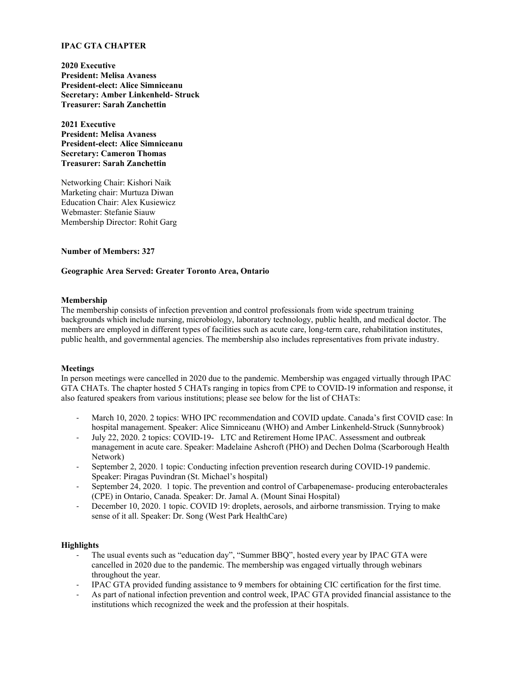## **IPAC GTA CHAPTER**

**2020 Executive President: Melisa Avaness President-elect: Alice Simniceanu Secretary: Amber Linkenheld- Struck Treasurer: Sarah Zanchettin**

**2021 Executive President: Melisa Avaness President-elect: Alice Simniceanu Secretary: Cameron Thomas Treasurer: Sarah Zanchettin**

Networking Chair: Kishori Naik Marketing chair: Murtuza Diwan Education Chair: Alex Kusiewicz Webmaster: Stefanie Siauw Membership Director: Rohit Garg

### **Number of Members: 327**

## **Geographic Area Served: Greater Toronto Area, Ontario**

### **Membership**

The membership consists of infection prevention and control professionals from wide spectrum training backgrounds which include nursing, microbiology, laboratory technology, public health, and medical doctor. The members are employed in different types of facilities such as acute care, long-term care, rehabilitation institutes, public health, and governmental agencies. The membership also includes representatives from private industry.

### **Meetings**

In person meetings were cancelled in 2020 due to the pandemic. Membership was engaged virtually through IPAC GTA CHATs. The chapter hosted 5 CHATs ranging in topics from CPE to COVID-19 information and response, it also featured speakers from various institutions; please see below for the list of CHATs:

- March 10, 2020. 2 topics: WHO IPC recommendation and COVID update. Canada's first COVID case: In hospital management. Speaker: Alice Simniceanu (WHO) and Amber Linkenheld-Struck (Sunnybrook)
- July 22, 2020. 2 topics: COVID-19- LTC and Retirement Home IPAC. Assessment and outbreak management in acute care. Speaker: Madelaine Ashcroft (PHO) and Dechen Dolma (Scarborough Health Network)
- September 2, 2020. 1 topic: Conducting infection prevention research during COVID-19 pandemic. Speaker: Piragas Puvindran (St. Michael's hospital)
- September 24, 2020. 1 topic. The prevention and control of Carbapenemase- producing enterobacterales (CPE) in Ontario, Canada. Speaker: Dr. Jamal A. (Mount Sinai Hospital)
- December 10, 2020. 1 topic. COVID 19: droplets, aerosols, and airborne transmission. Trying to make sense of it all. Speaker: Dr. Song (West Park HealthCare)

### **Highlights**

- The usual events such as "education day", "Summer BBQ", hosted every year by IPAC GTA were cancelled in 2020 due to the pandemic. The membership was engaged virtually through webinars throughout the year.
- IPAC GTA provided funding assistance to 9 members for obtaining CIC certification for the first time.
- As part of national infection prevention and control week, IPAC GTA provided financial assistance to the institutions which recognized the week and the profession at their hospitals.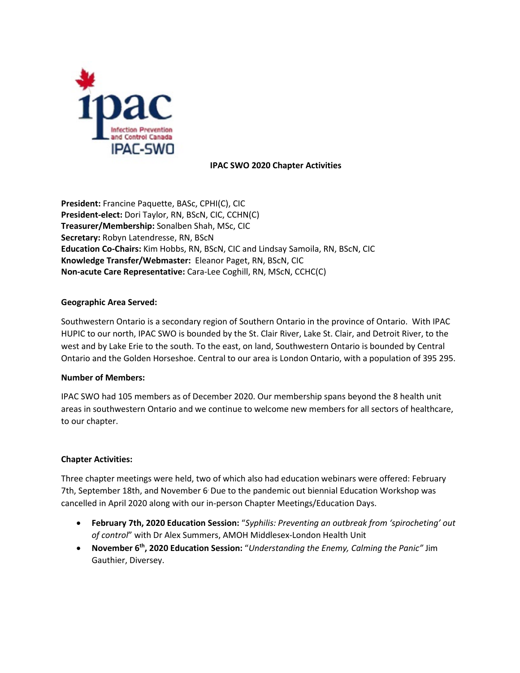

## **IPAC SWO 2020 Chapter Activities**

**President:** Francine Paquette, BASc, CPHI(C), CIC **President-elect:** Dori Taylor, RN, BScN, CIC, CCHN(C) **Treasurer/Membership:** Sonalben Shah, MSc, CIC **Secretary:** Robyn Latendresse, RN, BScN **Education Co-Chairs:** Kim Hobbs, RN, BScN, CIC and Lindsay Samoila, RN, BScN, CIC **Knowledge Transfer/Webmaster:** Eleanor Paget, RN, BScN, CIC **Non-acute Care Representative:** Cara-Lee Coghill, RN, MScN, CCHC(C)

## **Geographic Area Served:**

Southwestern Ontario is a secondary region of Southern Ontario in the province of Ontario. With IPAC HUPIC to our north, IPAC SWO is bounded by the St. Clair River, Lake St. Clair, and Detroit River, to the west and by Lake Erie to the south. To the east, on land, Southwestern Ontario is bounded by Central Ontario and the Golden Horseshoe. Central to our area is London Ontario, with a population of 395 295.

## **Number of Members:**

IPAC SWO had 105 members as of December 2020. Our membership spans beyond the 8 health unit areas in southwestern Ontario and we continue to welcome new members for all sectors of healthcare, to our chapter.

## **Chapter Activities:**

Three chapter meetings were held, two of which also had education webinars were offered: February 7th, September 18th, and November 6. Due to the pandemic out biennial Education Workshop was cancelled in April 2020 along with our in-person Chapter Meetings/Education Days.

- **February 7th, 2020 Education Session:** "*Syphilis: Preventing an outbreak from 'spirocheting' out of control*" with Dr Alex Summers, AMOH Middlesex-London Health Unit
- **November 6th, 2020 Education Session:** "*Understanding the Enemy, Calming the Panic"* Jim Gauthier, Diversey.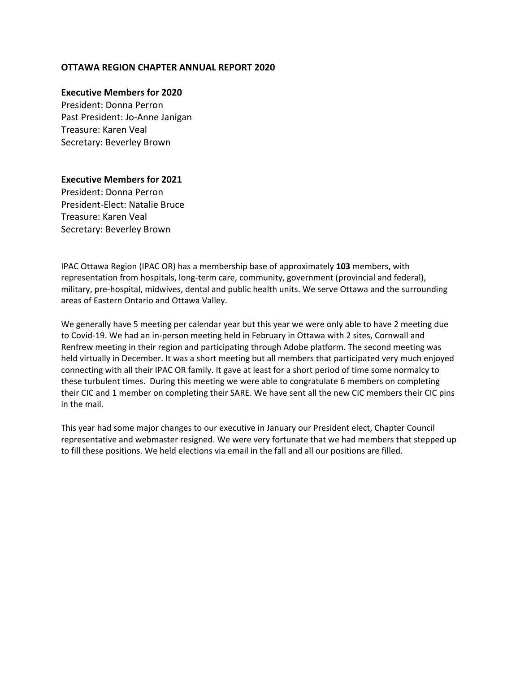## **OTTAWA REGION CHAPTER ANNUAL REPORT 2020**

## **Executive Members for 2020**

President: Donna Perron Past President: Jo-Anne Janigan Treasure: Karen Veal Secretary: Beverley Brown

## **Executive Members for 2021**

President: Donna Perron President-Elect: Natalie Bruce Treasure: Karen Veal Secretary: Beverley Brown

IPAC Ottawa Region (IPAC OR) has a membership base of approximately **103** members, with representation from hospitals, long-term care, community, government (provincial and federal), military, pre-hospital, midwives, dental and public health units. We serve Ottawa and the surrounding areas of Eastern Ontario and Ottawa Valley.

We generally have 5 meeting per calendar year but this year we were only able to have 2 meeting due to Covid-19. We had an in-person meeting held in February in Ottawa with 2 sites, Cornwall and Renfrew meeting in their region and participating through Adobe platform. The second meeting was held virtually in December. It was a short meeting but all members that participated very much enjoyed connecting with all their IPAC OR family. It gave at least for a short period of time some normalcy to these turbulent times. During this meeting we were able to congratulate 6 members on completing their CIC and 1 member on completing their SARE. We have sent all the new CIC members their CIC pins in the mail.

This year had some major changes to our executive in January our President elect, Chapter Council representative and webmaster resigned. We were very fortunate that we had members that stepped up to fill these positions. We held elections via email in the fall and all our positions are filled.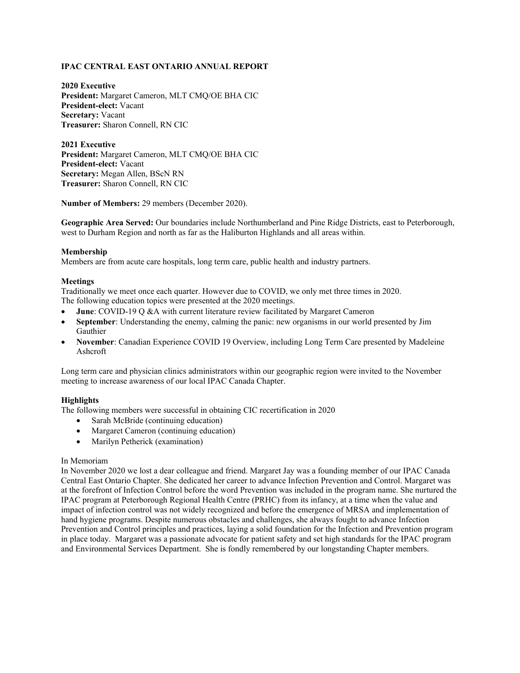## **IPAC CENTRAL EAST ONTARIO ANNUAL REPORT**

**2020 Executive President:** Margaret Cameron, MLT CMQ/OE BHA CIC **President-elect:** Vacant **Secretary:** Vacant **Treasurer:** Sharon Connell, RN CIC

**2021 Executive President:** Margaret Cameron, MLT CMQ/OE BHA CIC **President-elect:** Vacant **Secretary:** Megan Allen, BScN RN **Treasurer:** Sharon Connell, RN CIC

**Number of Members:** 29 members (December 2020).

**Geographic Area Served:** Our boundaries include Northumberland and Pine Ridge Districts, east to Peterborough, west to Durham Region and north as far as the Haliburton Highlands and all areas within.

## **Membership**

Members are from acute care hospitals, long term care, public health and industry partners.

## **Meetings**

Traditionally we meet once each quarter. However due to COVID, we only met three times in 2020. The following education topics were presented at the 2020 meetings.

- **June**: COVID-19 Q &A with current literature review facilitated by Margaret Cameron
- **September**: Understanding the enemy, calming the panic: new organisms in our world presented by Jim Gauthier
- **November**: Canadian Experience COVID 19 Overview, including Long Term Care presented by Madeleine Ashcroft

Long term care and physician clinics administrators within our geographic region were invited to the November meeting to increase awareness of our local IPAC Canada Chapter.

## **Highlights**

The following members were successful in obtaining CIC recertification in 2020

- Sarah McBride (continuing education)
- Margaret Cameron (continuing education)
- Marilyn Petherick (examination)

### In Memoriam

In November 2020 we lost a dear colleague and friend. Margaret Jay was a founding member of our IPAC Canada Central East Ontario Chapter. She dedicated her career to advance Infection Prevention and Control. Margaret was at the forefront of Infection Control before the word Prevention was included in the program name. She nurtured the IPAC program at Peterborough Regional Health Centre (PRHC) from its infancy, at a time when the value and impact of infection control was not widely recognized and before the emergence of MRSA and implementation of hand hygiene programs. Despite numerous obstacles and challenges, she always fought to advance Infection Prevention and Control principles and practices, laying a solid foundation for the Infection and Prevention program in place today. Margaret was a passionate advocate for patient safety and set high standards for the IPAC program and Environmental Services Department. She is fondly remembered by our longstanding Chapter members.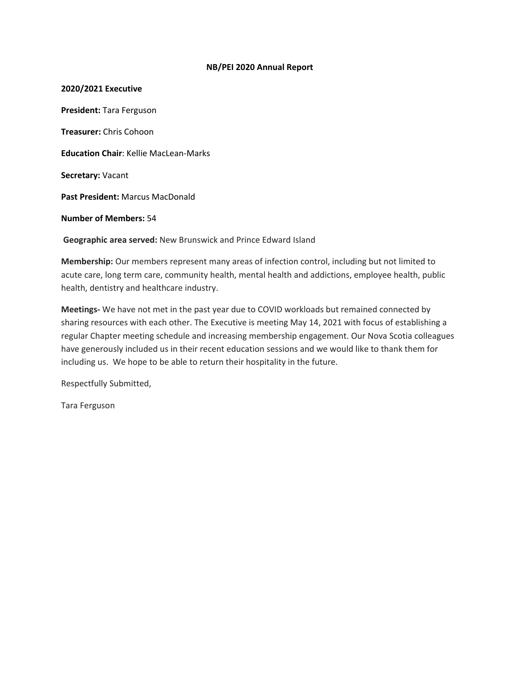## **NB/PEI 2020 Annual Report**

**2020/2021 Executive President:** Tara Ferguson **Treasurer:** Chris Cohoon **Education Chair**: Kellie MacLean-Marks **Secretary:** Vacant **Past President:** Marcus MacDonald **Number of Members:** 54 **Geographic area served:** New Brunswick and Prince Edward Island

**Membership:** Our members represent many areas of infection control, including but not limited to acute care, long term care, community health, mental health and addictions, employee health, public health, dentistry and healthcare industry.

**Meetings-** We have not met in the past year due to COVID workloads but remained connected by sharing resources with each other. The Executive is meeting May 14, 2021 with focus of establishing a regular Chapter meeting schedule and increasing membership engagement. Our Nova Scotia colleagues have generously included us in their recent education sessions and we would like to thank them for including us. We hope to be able to return their hospitality in the future.

Respectfully Submitted,

Tara Ferguson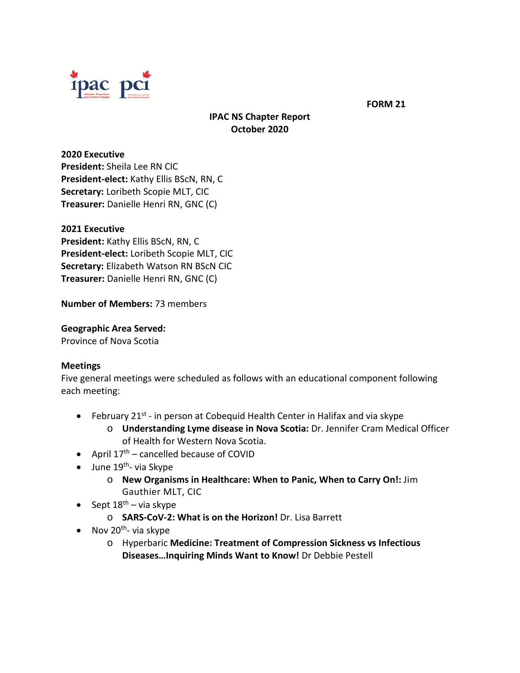

**FORM 21**

# **IPAC NS Chapter Report October 2020**

**2020 Executive President:** Sheila Lee RN CIC **President-elect:** Kathy Ellis BScN, RN, C **Secretary:** Loribeth Scopie MLT, CIC **Treasurer:** Danielle Henri RN, GNC (C)

# **2021 Executive**

**President:** Kathy Ellis BScN, RN, C **President-elect:** Loribeth Scopie MLT, CIC **Secretary:** Elizabeth Watson RN BScN CIC **Treasurer:** Danielle Henri RN, GNC (C)

**Number of Members:** 73 members

# **Geographic Area Served:**

Province of Nova Scotia

# **Meetings**

Five general meetings were scheduled as follows with an educational component following each meeting:

- February  $21^{st}$  in person at Cobequid Health Center in Halifax and via skype
	- o **Understanding Lyme disease in Nova Scotia:** Dr. Jennifer Cram Medical Officer of Health for Western Nova Scotia.
- April  $17<sup>th</sup>$  cancelled because of COVID
- June  $19^{th}$  via Skype
	- o **New Organisms in Healthcare: When to Panic, When to Carry On!:** Jim Gauthier MLT, CIC
- Sept  $18^{th}$  via skype
	- o **SARS-CoV-2: What is on the Horizon!** Dr. Lisa Barrett
- Nov  $20^{th}$  via skype
	- o Hyperbaric **Medicine: Treatment of Compression Sickness vs Infectious Diseases…Inquiring Minds Want to Know!** Dr Debbie Pestell